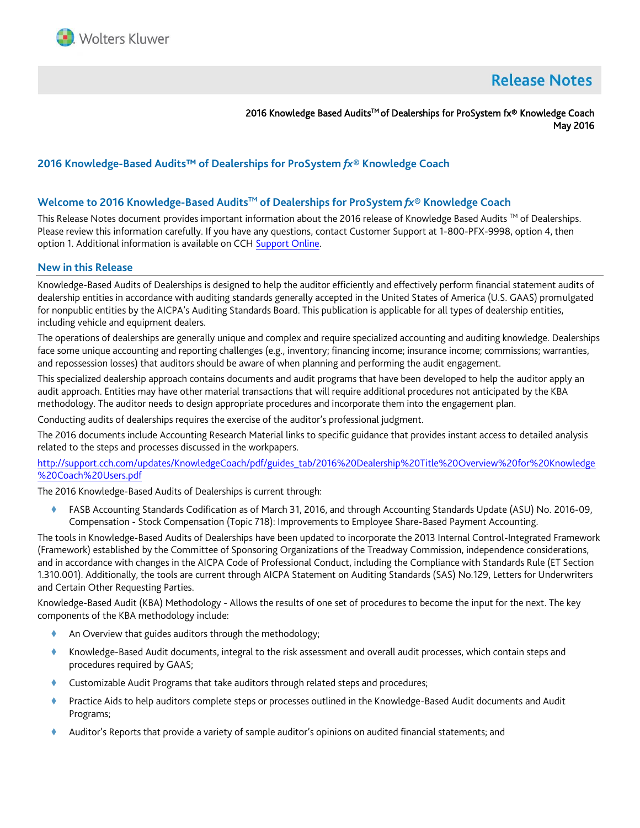

# **Release Notes**

2016 Knowledge Based Audits™ of Dealerships for ProSystem fx® Knowledge Coach May 2016

# **2016 Knowledge-Based Audits™ of Dealerships for ProSystem** *fx***® Knowledge Coach**

## **Welcome to 2016 Knowledge-Based AuditsTM of Dealerships for ProSystem** *fx***® Knowledge Coach**

This Release Notes document provides important information about the 2016 release of Knowledge Based Audits ™ of Dealerships. Please review this information carefully. If you have any questions, contact Customer Support at 1-800-PFX-9998, option 4, then option 1. Additional information is available on CCH [Support Online.](http://support.cch.com/productsupport/)

#### **New in this Release**

Knowledge-Based Audits of Dealerships is designed to help the auditor efficiently and effectively perform financial statement audits of dealership entities in accordance with auditing standards generally accepted in the United States of America (U.S. GAAS) promulgated for nonpublic entities by the AICPA's Auditing Standards Board. This publication is applicable for all types of dealership entities, including vehicle and equipment dealers.

The operations of dealerships are generally unique and complex and require specialized accounting and auditing knowledge. Dealerships face some unique accounting and reporting challenges (e.g., inventory; financing income; insurance income; commissions; warranties, and repossession losses) that auditors should be aware of when planning and performing the audit engagement.

This specialized dealership approach contains documents and audit programs that have been developed to help the auditor apply an audit approach. Entities may have other material transactions that will require additional procedures not anticipated by the KBA methodology. The auditor needs to design appropriate procedures and incorporate them into the engagement plan.

Conducting audits of dealerships requires the exercise of the auditor's professional judgment.

The 2016 documents include Accounting Research Material links to specific guidance that provides instant access to detailed analysis related to the steps and processes discussed in the workpapers.

[http://support.cch.com/updates/KnowledgeCoach/pdf/guides\\_tab/2016%20Dealership%20Title%20Overview%20for%20Knowledge](http://support.cch.com/updates/KnowledgeCoach/pdf/guides_tab/2016%20Dealership%20Title%20Overview%20for%20Knowledge%20Coach%20Users.pdf) [%20Coach%20Users.pdf](http://support.cch.com/updates/KnowledgeCoach/pdf/guides_tab/2016%20Dealership%20Title%20Overview%20for%20Knowledge%20Coach%20Users.pdf)

The 2016 Knowledge-Based Audits of Dealerships is current through:

 FASB Accounting Standards Codification as of March 31, 2016, and through Accounting Standards Update (ASU) No. 2016-09, Compensation - Stock Compensation (Topic 718): Improvements to Employee Share-Based Payment Accounting.

The tools in Knowledge-Based Audits of Dealerships have been updated to incorporate the 2013 Internal Control-Integrated Framework (Framework) established by the Committee of Sponsoring Organizations of the Treadway Commission, independence considerations, and in accordance with changes in the AICPA Code of Professional Conduct, including the Compliance with Standards Rule (ET Section 1.310.001). Additionally, the tools are current through AICPA Statement on Auditing Standards (SAS) No.129, Letters for Underwriters and Certain Other Requesting Parties.

Knowledge-Based Audit (KBA) Methodology - Allows the results of one set of procedures to become the input for the next. The key components of the KBA methodology include:

- An Overview that guides auditors through the methodology;
- Knowledge-Based Audit documents, integral to the risk assessment and overall audit processes, which contain steps and procedures required by GAAS;
- Customizable Audit Programs that take auditors through related steps and procedures;
- Practice Aids to help auditors complete steps or processes outlined in the Knowledge-Based Audit documents and Audit Programs;
- Auditor's Reports that provide a variety of sample auditor's opinions on audited financial statements; and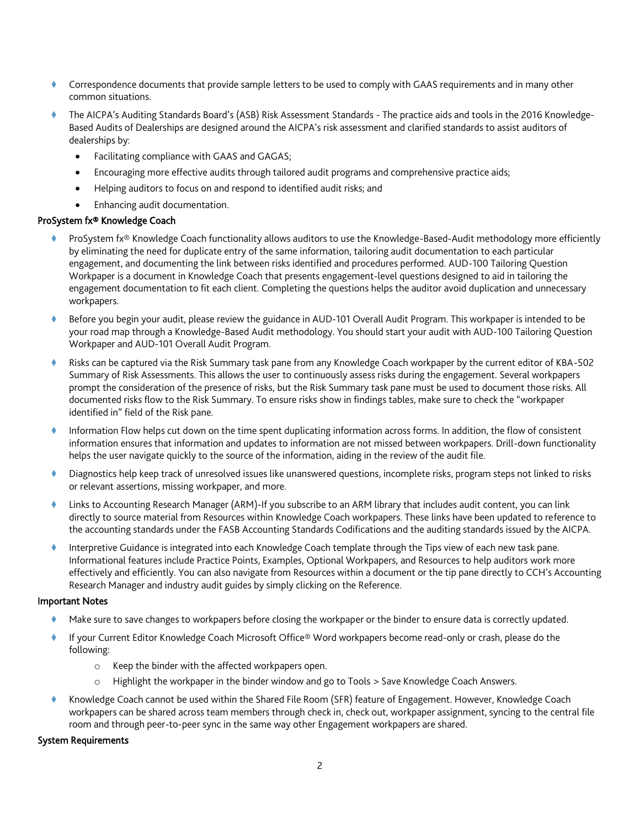- Correspondence documents that provide sample letters to be used to comply with GAAS requirements and in many other common situations.
- The AICPA's Auditing Standards Board's (ASB) Risk Assessment Standards The practice aids and tools in the 2016 Knowledge-Based Audits of Dealerships are designed around the AICPA's risk assessment and clarified standards to assist auditors of dealerships by:
	- Facilitating compliance with GAAS and GAGAS;
	- Encouraging more effective audits through tailored audit programs and comprehensive practice aids;
	- Helping auditors to focus on and respond to identified audit risks; and
	- Enhancing audit documentation.

#### ProSystem fx® Knowledge Coach

- ProSystem fx® Knowledge Coach functionality allows auditors to use the Knowledge-Based-Audit methodology more efficiently by eliminating the need for duplicate entry of the same information, tailoring audit documentation to each particular engagement, and documenting the link between risks identified and procedures performed. AUD-100 Tailoring Question Workpaper is a document in Knowledge Coach that presents engagement-level questions designed to aid in tailoring the engagement documentation to fit each client. Completing the questions helps the auditor avoid duplication and unnecessary workpapers.
- Before you begin your audit, please review the guidance in AUD-101 Overall Audit Program. This workpaper is intended to be your road map through a Knowledge-Based Audit methodology. You should start your audit with AUD-100 Tailoring Question Workpaper and AUD-101 Overall Audit Program.
- Risks can be captured via the Risk Summary task pane from any Knowledge Coach workpaper by the current editor of KBA-502 Summary of Risk Assessments. This allows the user to continuously assess risks during the engagement. Several workpapers prompt the consideration of the presence of risks, but the Risk Summary task pane must be used to document those risks. All documented risks flow to the Risk Summary. To ensure risks show in findings tables, make sure to check the "workpaper identified in" field of the Risk pane.
- Information Flow helps cut down on the time spent duplicating information across forms. In addition, the flow of consistent information ensures that information and updates to information are not missed between workpapers. Drill-down functionality helps the user navigate quickly to the source of the information, aiding in the review of the audit file.
- Diagnostics help keep track of unresolved issues like unanswered questions, incomplete risks, program steps not linked to risks or relevant assertions, missing workpaper, and more.
- Links to Accounting Research Manager (ARM)-If you subscribe to an ARM library that includes audit content, you can link directly to source material from Resources within Knowledge Coach workpapers. These links have been updated to reference to the accounting standards under the FASB Accounting Standards Codifications and the auditing standards issued by the AICPA.
- Interpretive Guidance is integrated into each Knowledge Coach template through the Tips view of each new task pane. Informational features include Practice Points, Examples, Optional Workpapers, and Resources to help auditors work more effectively and efficiently. You can also navigate from Resources within a document or the tip pane directly to CCH's Accounting Research Manager and industry audit guides by simply clicking on the Reference.

#### Important Notes

- Make sure to save changes to workpapers before closing the workpaper or the binder to ensure data is correctly updated.
- If your Current Editor Knowledge Coach Microsoft Office® Word workpapers become read-only or crash, please do the following:
	- o Keep the binder with the affected workpapers open.
	- o Highlight the workpaper in the binder window and go to Tools > Save Knowledge Coach Answers.
- Knowledge Coach cannot be used within the Shared File Room (SFR) feature of Engagement. However, Knowledge Coach workpapers can be shared across team members through check in, check out, workpaper assignment, syncing to the central file room and through peer-to-peer sync in the same way other Engagement workpapers are shared.

#### System Requirements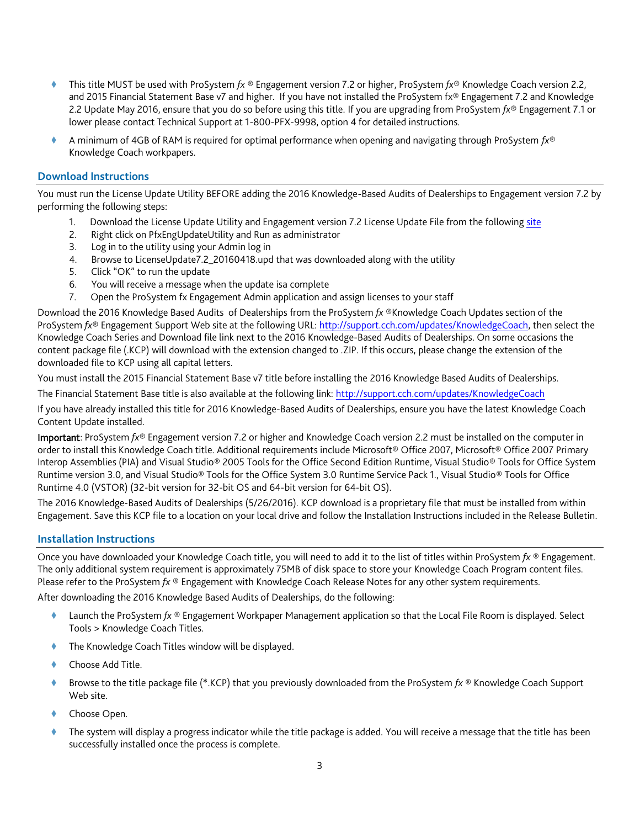- This title MUST be used with ProSystem *fx* ® Engagement version 7.2 or higher, ProSystem *fx*® Knowledge Coach version 2.2, and 2015 Financial Statement Base v7 and higher. If you have not installed the ProSystem fx® Engagement 7.2 and Knowledge 2.2 Update May 2016, ensure that you do so before using this title. If you are upgrading from ProSystem *fx*® Engagement 7.1 or lower please contact Technical Support at 1-800-PFX-9998, option 4 for detailed instructions.
- A minimum of 4GB of RAM is required for optimal performance when opening and navigating through ProSystem *fx*® Knowledge Coach workpapers.

## **Download Instructions**

You must run the License Update Utility BEFORE adding the 2016 Knowledge-Based Audits of Dealerships to Engagement version 7.2 by performing the following steps:

- 1. Download the License Update Utility and Engagement version 7.2 License Update File from the following [site](https://support.cch.com/updates/engagement/#engagementLicenseFiles)
- 2. Right click on PfxEngUpdateUtility and Run as administrator
- 3. Log in to the utility using your Admin log in
- 4. Browse to LicenseUpdate7.2\_20160418.upd that was downloaded along with the utility
- 5. Click "OK" to run the update
- 6. You will receive a message when the update isa complete
- 7. Open the ProSystem fx Engagement Admin application and assign licenses to your staff

Download the 2016 Knowledge Based Audits of Dealerships from the ProSystem *fx* ®Knowledge Coach Updates section of the ProSystem *fx*® Engagement Support Web site at the following URL[: http://support.cch.com/updates/KnowledgeCoach,](http://support.cch.com/updates/KnowledgeCoach) then select the Knowledge Coach Series and Download file link next to the 2016 Knowledge-Based Audits of Dealerships. On some occasions the content package file (.KCP) will download with the extension changed to .ZIP. If this occurs, please change the extension of the downloaded file to KCP using all capital letters.

You must install the 2015 Financial Statement Base v7 title before installing the 2016 Knowledge Based Audits of Dealerships.

The Financial Statement Base title is also available at the following link:<http://support.cch.com/updates/KnowledgeCoach>

If you have already installed this title for 2016 Knowledge-Based Audits of Dealerships, ensure you have the latest Knowledge Coach Content Update installed.

Important: ProSystem *fx*® Engagement version 7.2 or higher and Knowledge Coach version 2.2 must be installed on the computer in order to install this Knowledge Coach title. Additional requirements include Microsoft® Office 2007, Microsoft® Office 2007 Primary Interop Assemblies (PIA) and Visual Studio® 2005 Tools for the Office Second Edition Runtime, Visual Studio® Tools for Office System Runtime version 3.0, and Visual Studio® Tools for the Office System 3.0 Runtime Service Pack 1., Visual Studio® Tools for Office Runtime 4.0 (VSTOR) (32-bit version for 32-bit OS and 64-bit version for 64-bit OS).

The 2016 Knowledge-Based Audits of Dealerships (5/26/2016). KCP download is a proprietary file that must be installed from within Engagement. Save this KCP file to a location on your local drive and follow the Installation Instructions included in the Release Bulletin.

## **Installation Instructions**

Once you have downloaded your Knowledge Coach title, you will need to add it to the list of titles within ProSystem *fx* ® Engagement. The only additional system requirement is approximately 75MB of disk space to store your Knowledge Coach Program content files. Please refer to the ProSystem *fx* ® Engagement with Knowledge Coach Release Notes for any other system requirements.

After downloading the 2016 Knowledge Based Audits of Dealerships, do the following:

- Launch the ProSystem *fx* ® Engagement Workpaper Management application so that the Local File Room is displayed. Select Tools > Knowledge Coach Titles.
- The Knowledge Coach Titles window will be displayed.
- Choose Add Title.
- Browse to the title package file (\*.KCP) that you previously downloaded from the ProSystem *fx* ® Knowledge Coach Support Web site.
- Choose Open.
- The system will display a progress indicator while the title package is added. You will receive a message that the title has been successfully installed once the process is complete.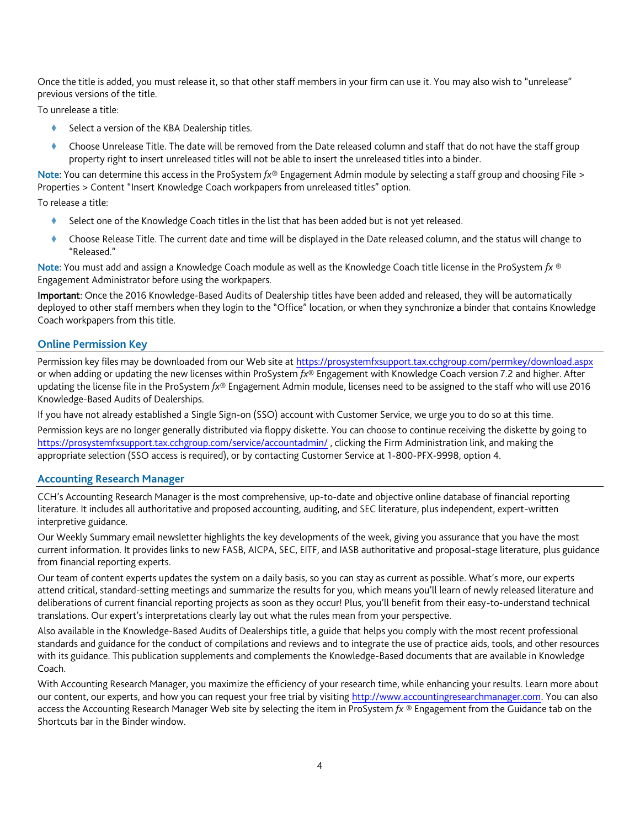Once the title is added, you must release it, so that other staff members in your firm can use it. You may also wish to "unrelease" previous versions of the title.

To unrelease a title:

- Select a version of the KBA Dealership titles.
- Choose Unrelease Title. The date will be removed from the Date released column and staff that do not have the staff group property right to insert unreleased titles will not be able to insert the unreleased titles into a binder.

Note: You can determine this access in the ProSystem *fx*® Engagement Admin module by selecting a staff group and choosing File > Properties > Content "Insert Knowledge Coach workpapers from unreleased titles" option.

To release a title:

- Select one of the Knowledge Coach titles in the list that has been added but is not yet released.
- Choose Release Title. The current date and time will be displayed in the Date released column, and the status will change to "Released."

Note: You must add and assign a Knowledge Coach module as well as the Knowledge Coach title license in the ProSystem *fx* ® Engagement Administrator before using the workpapers.

Important: Once the 2016 Knowledge-Based Audits of Dealership titles have been added and released, they will be automatically deployed to other staff members when they login to the "Office" location, or when they synchronize a binder that contains Knowledge Coach workpapers from this title.

## **Online Permission Key**

Permission key files may be downloaded from our Web site a[t https://prosystemfxsupport.tax.cchgroup.com/permkey/download.aspx](https://prosystemfxsupport.tax.cchgroup.com/permkey/download.aspx)  or when adding or updating the new licenses within ProSystem *fx*® Engagement with Knowledge Coach version 7.2 and higher. After updating the license file in the ProSystem *fx*® Engagement Admin module, licenses need to be assigned to the staff who will use 2016 Knowledge-Based Audits of Dealerships.

If you have not already established a Single Sign-on (SSO) account with Customer Service, we urge you to do so at this time.

Permission keys are no longer generally distributed via floppy diskette. You can choose to continue receiving the diskette by going to <https://prosystemfxsupport.tax.cchgroup.com/service/accountadmin/> , clicking the Firm Administration link, and making the appropriate selection (SSO access is required), or by contacting Customer Service at 1-800-PFX-9998, option 4.

## **Accounting Research Manager**

CCH's Accounting Research Manager is the most comprehensive, up-to-date and objective online database of financial reporting literature. It includes all authoritative and proposed accounting, auditing, and SEC literature, plus independent, expert-written interpretive guidance.

Our Weekly Summary email newsletter highlights the key developments of the week, giving you assurance that you have the most current information. It provides links to new FASB, AICPA, SEC, EITF, and IASB authoritative and proposal-stage literature, plus guidance from financial reporting experts.

Our team of content experts updates the system on a daily basis, so you can stay as current as possible. What's more, our experts attend critical, standard-setting meetings and summarize the results for you, which means you'll learn of newly released literature and deliberations of current financial reporting projects as soon as they occur! Plus, you'll benefit from their easy-to-understand technical translations. Our expert's interpretations clearly lay out what the rules mean from your perspective.

Also available in the Knowledge-Based Audits of Dealerships title, a guide that helps you comply with the most recent professional standards and guidance for the conduct of compilations and reviews and to integrate the use of practice aids, tools, and other resources with its guidance. This publication supplements and complements the Knowledge-Based documents that are available in Knowledge Coach.

With Accounting Research Manager, you maximize the efficiency of your research time, while enhancing your results. Learn more about our content, our experts, and how you can request your free trial by visiting [http://www.accountingresearchmanager.com.](http://www.accountingresearchmanager.com/) You can also access the Accounting Research Manager Web site by selecting the item in ProSystem *fx* ® Engagement from the Guidance tab on the Shortcuts bar in the Binder window.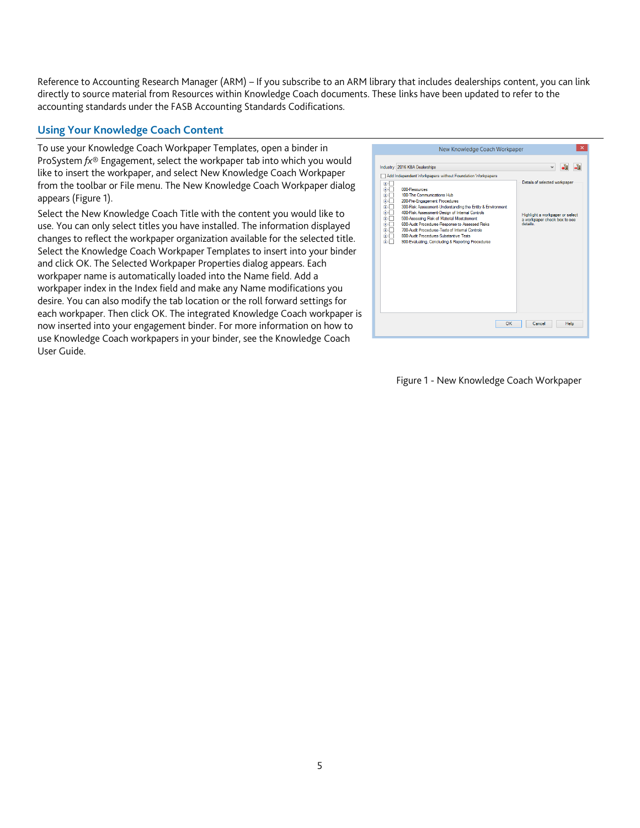Reference to Accounting Research Manager (ARM) – If you subscribe to an ARM library that includes dealerships content, you can link directly to source material from Resources within Knowledge Coach documents. These links have been updated to refer to the accounting standards under the FASB Accounting Standards Codifications.

# **Using Your Knowledge Coach Content**

To use your Knowledge Coach Workpaper Templates, open a binder in ProSystem *fx*® Engagement, select the workpaper tab into which you would like to insert the workpaper, and select New Knowledge Coach Workpaper from the toolbar or File menu. The New Knowledge Coach Workpaper dialog appears (Figure 1).

Select the New Knowledge Coach Title with the content you would like to use. You can only select titles you have installed. The information displayed changes to reflect the workpaper organization available for the selected title. Select the Knowledge Coach Workpaper Templates to insert into your binder and click OK. The Selected Workpaper Properties dialog appears. Each workpaper name is automatically loaded into the Name field. Add a workpaper index in the Index field and make any Name modifications you desire. You can also modify the tab location or the roll forward settings for each workpaper. Then click OK. The integrated Knowledge Coach workpaper is now inserted into your engagement binder. For more information on how to use Knowledge Coach workpapers in your binder, see the Knowledge Coach User Guide.



## Figure 1 - New Knowledge Coach Workpaper